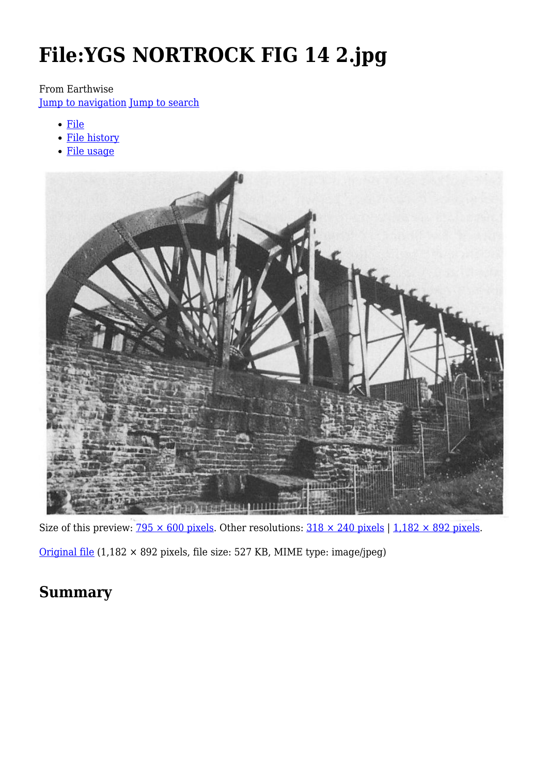# **File:YGS NORTROCK FIG 14 2.jpg**

### From Earthwise

[Jump to navigation](#page--1-0) [Jump to search](#page--1-0)

- [File](#page--1-0)
- [File history](#page--1-0)
- [File usage](#page--1-0)



Size of this preview:  $\frac{795 \times 600 \text{ pixels}}{2500 \text{ pixels}}$ . Other resolutions:  $\frac{318 \times 240 \text{ pixels}}{11000}$  | [1,182 × 892 pixels](http://earthwise.bgs.ac.uk/images/1/1e/YGS_NORTROCK_FIG_14_2.jpg).

[Original file](http://earthwise.bgs.ac.uk/images/1/1e/YGS_NORTROCK_FIG_14_2.jpg) (1,182 × 892 pixels, file size: 527 KB, MIME type: image/jpeg)

## **Summary**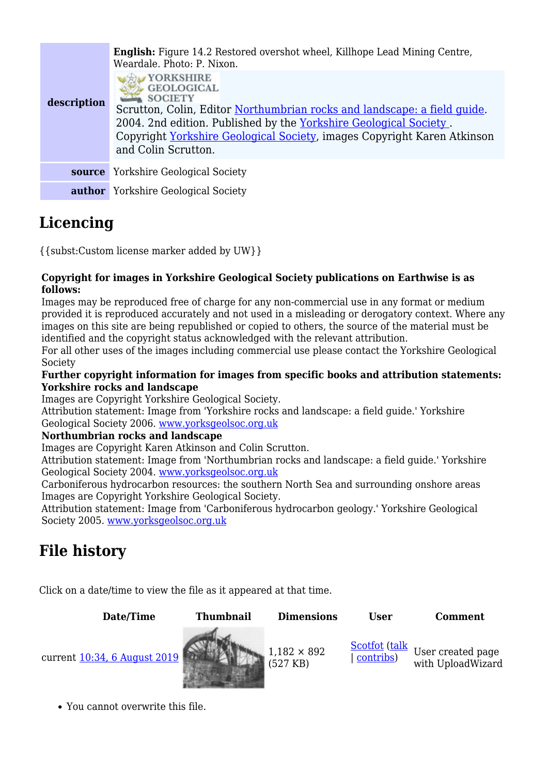| description | <b>English:</b> Figure 14.2 Restored overshot wheel, Killhope Lead Mining Centre,<br>Weardale, Photo: P. Nixon.<br>YORKSHIRE<br><b>GEOLOGICAL</b><br><b>SOCIETY</b><br>Scrutton, Colin, Editor Northumbrian rocks and landscape: a field quide.<br>2004. 2nd edition. Published by the Yorkshire Geological Society.<br>Copyright Yorkshire Geological Society, images Copyright Karen Atkinson<br>and Colin Scrutton. |
|-------------|------------------------------------------------------------------------------------------------------------------------------------------------------------------------------------------------------------------------------------------------------------------------------------------------------------------------------------------------------------------------------------------------------------------------|
| source      | <b>Yorkshire Geological Society</b>                                                                                                                                                                                                                                                                                                                                                                                    |
|             | <b>author</b> Yorkshire Geological Society                                                                                                                                                                                                                                                                                                                                                                             |

## **Licencing**

{{subst:Custom license marker added by UW}}

#### **Copyright for images in Yorkshire Geological Society publications on Earthwise is as follows:**

Images may be reproduced free of charge for any non-commercial use in any format or medium provided it is reproduced accurately and not used in a misleading or derogatory context. Where any images on this site are being republished or copied to others, the source of the material must be identified and the copyright status acknowledged with the relevant attribution.

For all other uses of the images including commercial use please contact the Yorkshire Geological Society

#### **Further copyright information for images from specific books and attribution statements: Yorkshire rocks and landscape**

Images are Copyright Yorkshire Geological Society.

Attribution statement: Image from 'Yorkshire rocks and landscape: a field guide.' Yorkshire Geological Society 2006. [www.yorksgeolsoc.org.uk](http://www.yorksgeolsoc.org.uk)

### **Northumbrian rocks and landscape**

Images are Copyright Karen Atkinson and Colin Scrutton.

Attribution statement: Image from 'Northumbrian rocks and landscape: a field guide.' Yorkshire Geological Society 2004. [www.yorksgeolsoc.org.uk](http://www.yorksgeolsoc.org.uk)

Carboniferous hydrocarbon resources: the southern North Sea and surrounding onshore areas Images are Copyright Yorkshire Geological Society.

Attribution statement: Image from 'Carboniferous hydrocarbon geology.' Yorkshire Geological Society 2005. [www.yorksgeolsoc.org.uk](http://www.yorksgeolsoc.org.uk)

## **File history**

Click on a date/time to view the file as it appeared at that time.

**Date/Time Thumbnail Dimensions User Comment**

current [10:34, 6 August 2019](http://earthwise.bgs.ac.uk/images/1/1e/YGS_NORTROCK_FIG_14_2.jpg)



(527 KB) [Scotfot](http://earthwise.bgs.ac.uk/index.php/User:Scotfot) ([talk](http://earthwise.bgs.ac.uk/index.php/User_talk:Scotfot) | [contribs\)](http://earthwise.bgs.ac.uk/index.php/Special:Contributions/Scotfot)

User created page with UploadWizard

You cannot overwrite this file.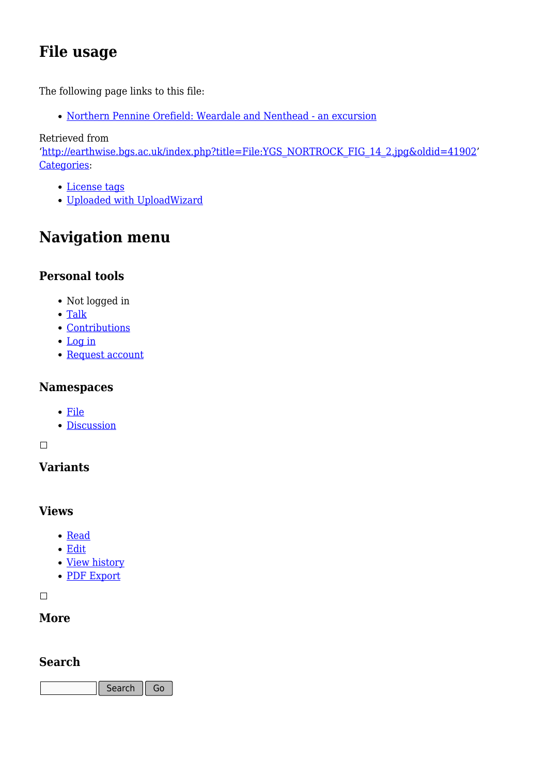## **File usage**

The following page links to this file:

[Northern Pennine Orefield: Weardale and Nenthead - an excursion](http://earthwise.bgs.ac.uk/index.php/Northern_Pennine_Orefield:_Weardale_and_Nenthead_-_an_excursion)

Retrieved from

'[http://earthwise.bgs.ac.uk/index.php?title=File:YGS\\_NORTROCK\\_FIG\\_14\\_2.jpg&oldid=41902](http://earthwise.bgs.ac.uk/index.php?title=File:YGS_NORTROCK_FIG_14_2.jpg&oldid=41902)' [Categories:](http://earthwise.bgs.ac.uk/index.php/Special:Categories)

- [License tags](http://earthwise.bgs.ac.uk/index.php/Category:License_tags)
- [Uploaded with UploadWizard](http://earthwise.bgs.ac.uk/index.php/Category:Uploaded_with_UploadWizard)

## **Navigation menu**

## **Personal tools**

- Not logged in
- [Talk](http://earthwise.bgs.ac.uk/index.php/Special:MyTalk)
- [Contributions](http://earthwise.bgs.ac.uk/index.php/Special:MyContributions)
- [Log in](http://earthwise.bgs.ac.uk/index.php?title=Special:UserLogin&returnto=File%3AYGS+NORTROCK+FIG+14+2.jpg&returntoquery=action%3Dmpdf)
- [Request account](http://earthwise.bgs.ac.uk/index.php/Special:RequestAccount)

## **Namespaces**

- [File](http://earthwise.bgs.ac.uk/index.php/File:YGS_NORTROCK_FIG_14_2.jpg)
- [Discussion](http://earthwise.bgs.ac.uk/index.php?title=File_talk:YGS_NORTROCK_FIG_14_2.jpg&action=edit&redlink=1)

### $\overline{\phantom{a}}$

## **Variants**

## **Views**

- [Read](http://earthwise.bgs.ac.uk/index.php/File:YGS_NORTROCK_FIG_14_2.jpg)
- [Edit](http://earthwise.bgs.ac.uk/index.php?title=File:YGS_NORTROCK_FIG_14_2.jpg&action=edit)
- [View history](http://earthwise.bgs.ac.uk/index.php?title=File:YGS_NORTROCK_FIG_14_2.jpg&action=history)
- [PDF Export](http://earthwise.bgs.ac.uk/index.php?title=File:YGS_NORTROCK_FIG_14_2.jpg&action=mpdf)

 $\overline{\phantom{a}}$ 

## **More**

## **Search**

Search  $\|$  Go